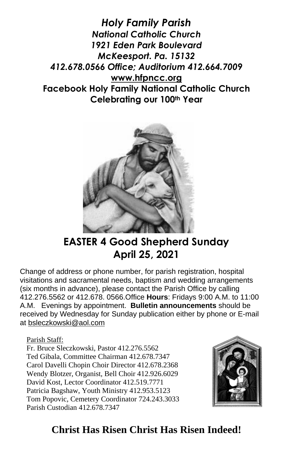*Holy Family Parish National Catholic Church 1921 Eden Park Boulevard McKeesport. Pa. 15132 412.678.0566 Office; Auditorium 412.664.7009* **[www.hfpncc.org](http://www.hfpncc.org/) Facebook Holy Family National Catholic Church Celebrating our 100th Year**



## **EASTER 4 Good Shepherd Sunday April 25, 2021**

Change of address or phone number, for parish registration, hospital visitations and sacramental needs, baptism and wedding arrangements (six months in advance), please contact the Parish Office by calling 412.276.5562 or 412.678. 0566.Office **Hours**: Fridays 9:00 A.M. to 11:00 A.M. Evenings by appointment. **Bulletin announcements** should be received by Wednesday for Sunday publication either by phone or E-mail at [bsleczkowski@aol.com](mailto:bsleczkowski@aol.com)

Parish Staff:

Fr. Bruce Sleczkowski, Pastor 412.276.5562 Ted Gibala, Committee Chairman 412.678.7347 Carol Davelli Chopin Choir Director 412.678.2368 Wendy Blotzer, Organist, Bell Choir 412.926.6029 David Kost, Lector Coordinator 412.519.7771 Patricia Bagshaw, Youth Ministry 412.953.5123 Tom Popovic, Cemetery Coordinator 724.243.3033 Parish Custodian 412.678.7347



#### **Christ Has Risen Christ Has Risen Indeed!**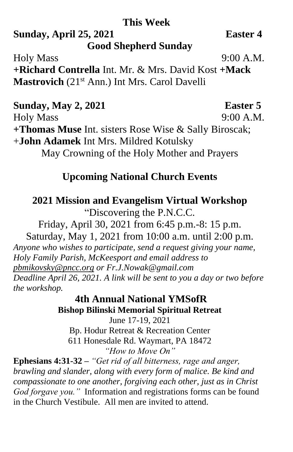#### **This Week**

# **Sunday, April 25, 2021 Easter 4 Good Shepherd Sunday**

Holy Mass 9:00 A.M. **+Richard Contrella** Int. Mr. & Mrs. David Kost **+Mack** Mastrovich (21<sup>st</sup> Ann.) Int Mrs. Carol Davelli

**Sunday, May 2, 2021 Easter 5** Holy Mass 9:00 A.M. **+Thomas Muse** Int. sisters Rose Wise & Sally Biroscak; +**John Adamek** Int Mrs. Mildred Kotulsky May Crowning of the Holy Mother and Prayers

#### **Upcoming National Church Events**

**2021 Mission and Evangelism Virtual Workshop** "Discovering the P.N.C.C.

Friday, April 30, 2021 from 6:45 p.m.-8: 15 p.m.

Saturday, May 1, 2021 from 10:00 a.m. until 2:00 p.m. *Anyone who wishes to participate, send a request giving your name, Holy Family Parish, McKeesport and email address to [pbmikovsky@pncc.org](mailto:pbmikovsky@pncc.org) or Fr.J.Nowak@gmail.com Deadline April 26, 2021. A link will be sent to you a day or two before the workshop.*

**4th Annual National YMSofR Bishop Bilinski Memorial Spiritual Retreat** 

June 17-19, 2021 Bp. Hodur Retreat & Recreation Center 611 Honesdale Rd. Waymart, PA 18472 *"How to Move On"* 

**Ephesians 4:31-32 –** *"Get rid of all bitterness, rage and anger, brawling and slander, along with every form of malice. Be kind and compassionate to one another, forgiving each other, just as in Christ God forgave you."* Information and registrations forms can be found in the Church Vestibule. All men are invited to attend.